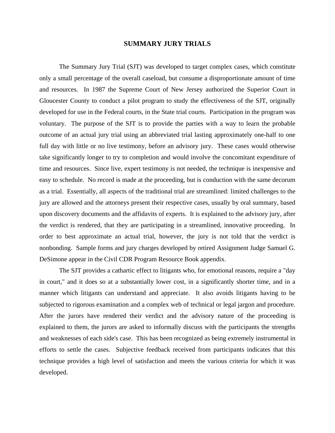## **SUMMARY JURY TRIALS**

 The Summary Jury Trial (SJT) was developed to target complex cases, which constitute only a small percentage of the overall caseload, but consume a disproportionate amount of time and resources. In 1987 the Supreme Court of New Jersey authorized the Superior Court in Gloucester County to conduct a pilot program to study the effectiveness of the SJT, originally developed for use in the Federal courts, in the State trial courts. Participation in the program was voluntary. The purpose of the SJT is to provide the parties with a way to learn the probable outcome of an actual jury trial using an abbreviated trial lasting approximately one-half to one full day with little or no live testimony, before an advisory jury. These cases would otherwise take significantly longer to try to completion and would involve the concomitant expenditure of time and resources. Since live, expert testimony is not needed, the technique is inexpensive and easy to schedule. No record is made at the proceeding, but is conduction with the same decorum as a trial. Essentially, all aspects of the traditional trial are streamlined: limited challenges to the jury are allowed and the attorneys present their respective cases, usually by oral summary, based upon discovery documents and the affidavits of experts. It is explained to the advisory jury, after the verdict is rendered, that they are participating in a streamlined, innovative proceeding. In order to best approximate an actual trial, however, the jury is not told that the verdict is nonbonding. Sample forms and jury charges developed by retired Assignment Judge Samuel G. DeSimone appear in the Civil CDR Program Resource Book appendix.

 The SJT provides a cathartic effect to litigants who, for emotional reasons, require a "day in court," and it does so at a substantially lower cost, in a significantly shorter time, and in a manner which litigants can understand and appreciate. It also avoids litigants having to be subjected to rigorous examination and a complex web of technical or legal jargon and procedure. After the jurors have rendered their verdict and the advisory nature of the proceeding is explained to them, the jurors are asked to informally discuss with the participants the strengths and weaknesses of each side's case. This has been recognized as being extremely instrumental in efforts to settle the cases. Subjective feedback received from participants indicates that this technique provides a high level of satisfaction and meets the various criteria for which it was developed.